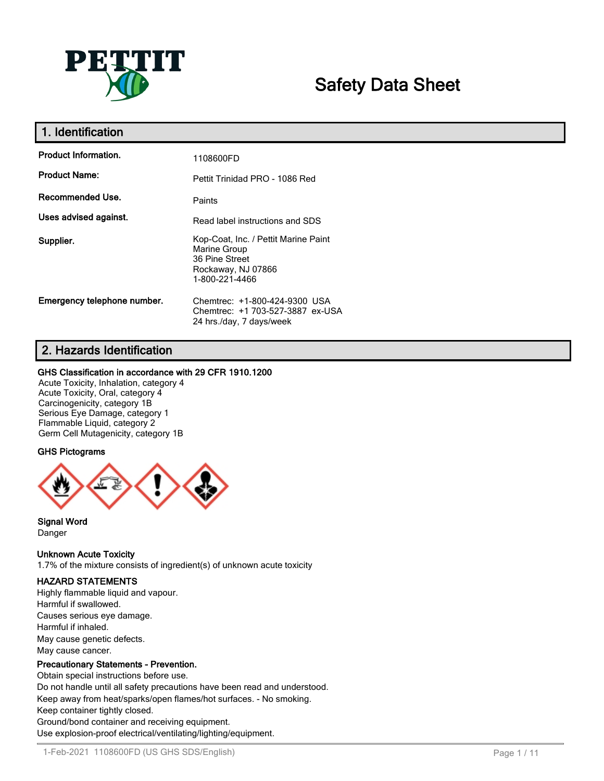

# **Safety Data Sheet**

| 1. Identification           |                                                                                                                |
|-----------------------------|----------------------------------------------------------------------------------------------------------------|
| <b>Product Information.</b> | 1108600FD                                                                                                      |
| <b>Product Name:</b>        | Pettit Trinidad PRO - 1086 Red                                                                                 |
| Recommended Use.            | Paints                                                                                                         |
| Uses advised against.       | Read label instructions and SDS                                                                                |
| Supplier.                   | Kop-Coat, Inc. / Pettit Marine Paint<br>Marine Group<br>36 Pine Street<br>Rockaway, NJ 07866<br>1-800-221-4466 |
| Emergency telephone number. | Chemtrec: +1-800-424-9300 USA<br>Chemtrec: +1 703-527-3887 ex-USA<br>24 hrs./day, 7 days/week                  |

# **2. Hazards Identification**

# **GHS Classification in accordance with 29 CFR 1910.1200**

Acute Toxicity, Inhalation, category 4 Acute Toxicity, Oral, category 4 Carcinogenicity, category 1B Serious Eye Damage, category 1 Flammable Liquid, category 2 Germ Cell Mutagenicity, category 1B

# **GHS Pictograms**



#### **Signal Word** Danger

# **Unknown Acute Toxicity**

1.7% of the mixture consists of ingredient(s) of unknown acute toxicity

# **HAZARD STATEMENTS**

Highly flammable liquid and vapour. Harmful if swallowed. Causes serious eye damage. Harmful if inhaled. May cause genetic defects. May cause cancer.

# **Precautionary Statements - Prevention.**

Obtain special instructions before use. Do not handle until all safety precautions have been read and understood. Keep away from heat/sparks/open flames/hot surfaces. - No smoking. Keep container tightly closed. Ground/bond container and receiving equipment. Use explosion-proof electrical/ventilating/lighting/equipment.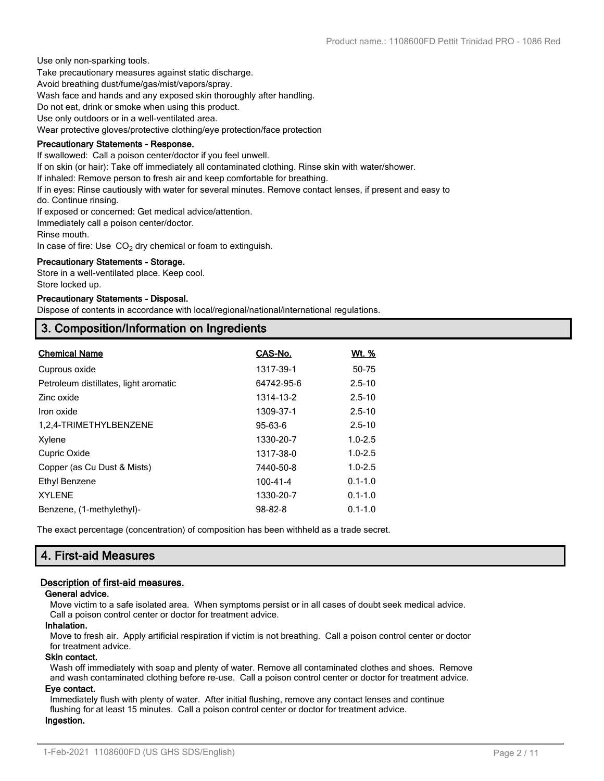Use only non-sparking tools.

Take precautionary measures against static discharge.

Avoid breathing dust/fume/gas/mist/vapors/spray.

Wash face and hands and any exposed skin thoroughly after handling.

Do not eat, drink or smoke when using this product.

Use only outdoors or in a well-ventilated area.

Wear protective gloves/protective clothing/eye protection/face protection

## **Precautionary Statements - Response.**

If swallowed: Call a poison center/doctor if you feel unwell.

If on skin (or hair): Take off immediately all contaminated clothing. Rinse skin with water/shower.

If inhaled: Remove person to fresh air and keep comfortable for breathing.

If in eyes: Rinse cautiously with water for several minutes. Remove contact lenses, if present and easy to

do. Continue rinsing.

If exposed or concerned: Get medical advice/attention.

Immediately call a poison center/doctor.

Rinse mouth.

In case of fire: Use  $CO<sub>2</sub>$  dry chemical or foam to extinguish.

#### **Precautionary Statements - Storage.**

Store in a well-ventilated place. Keep cool. Store locked up.

#### **Precautionary Statements - Disposal.**

Dispose of contents in accordance with local/regional/national/international regulations.

# **3. Composition/Information on Ingredients**

| <b>Chemical Name</b>                  | CAS-No.       | <u>Wt. %</u> |
|---------------------------------------|---------------|--------------|
| Cuprous oxide                         | 1317-39-1     | 50-75        |
| Petroleum distillates, light aromatic | 64742-95-6    | $2.5 - 10$   |
| Zinc oxide                            | 1314-13-2     | $2.5 - 10$   |
| Iron oxide                            | 1309-37-1     | $2.5 - 10$   |
| 1,2,4-TRIMETHYLBENZENE                | $95 - 63 - 6$ | $2.5 - 10$   |
| Xylene                                | 1330-20-7     | $1.0 - 2.5$  |
| Cupric Oxide                          | 1317-38-0     | $1.0 - 2.5$  |
| Copper (as Cu Dust & Mists)           | 7440-50-8     | $1.0 - 2.5$  |
| Ethyl Benzene                         | 100-41-4      | $0.1 - 1.0$  |
| <b>XYLENE</b>                         | 1330-20-7     | $0.1 - 1.0$  |
| Benzene, (1-methylethyl)-             | $98 - 82 - 8$ | $0.1 - 1.0$  |

The exact percentage (concentration) of composition has been withheld as a trade secret.

# **4. First-aid Measures**

# **Description of first-aid measures.**

#### **General advice.**

Move victim to a safe isolated area. When symptoms persist or in all cases of doubt seek medical advice. Call a poison control center or doctor for treatment advice.

#### **Inhalation.**

Move to fresh air. Apply artificial respiration if victim is not breathing. Call a poison control center or doctor for treatment advice.

# **Skin contact.**

Wash off immediately with soap and plenty of water. Remove all contaminated clothes and shoes. Remove and wash contaminated clothing before re-use. Call a poison control center or doctor for treatment advice.

# **Eye contact.**

Immediately flush with plenty of water. After initial flushing, remove any contact lenses and continue flushing for at least 15 minutes. Call a poison control center or doctor for treatment advice. **Ingestion.**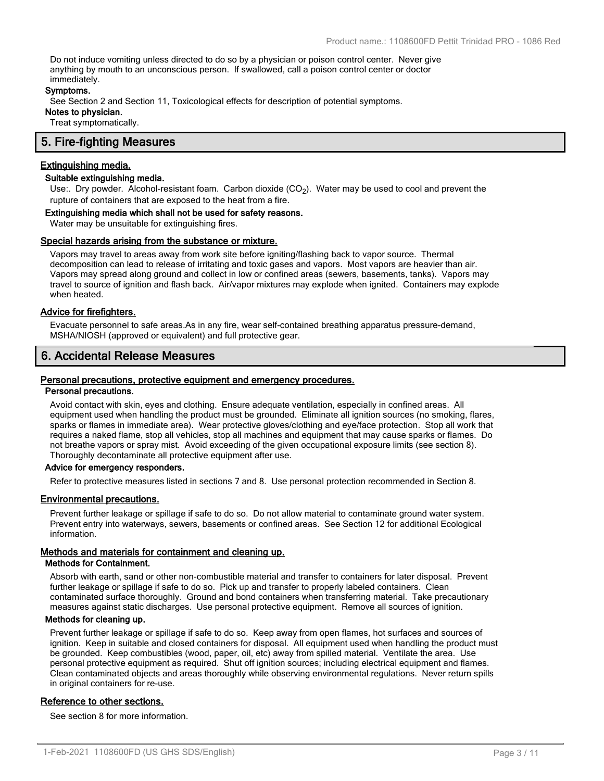Do not induce vomiting unless directed to do so by a physician or poison control center. Never give anything by mouth to an unconscious person. If swallowed, call a poison control center or doctor immediately.

#### **Symptoms.**

See Section 2 and Section 11, Toxicological effects for description of potential symptoms.

**Notes to physician.**

Treat symptomatically.

# **5. Fire-fighting Measures**

# **Extinguishing media.**

# **Suitable extinguishing media.**

Use:. Dry powder. Alcohol-resistant foam. Carbon dioxide (CO<sub>2</sub>). Water may be used to cool and prevent the rupture of containers that are exposed to the heat from a fire.

#### **Extinguishing media which shall not be used for safety reasons.**

Water may be unsuitable for extinguishing fires.

#### **Special hazards arising from the substance or mixture.**

Vapors may travel to areas away from work site before igniting/flashing back to vapor source. Thermal decomposition can lead to release of irritating and toxic gases and vapors. Most vapors are heavier than air. Vapors may spread along ground and collect in low or confined areas (sewers, basements, tanks). Vapors may travel to source of ignition and flash back. Air/vapor mixtures may explode when ignited. Containers may explode when heated.

## **Advice for firefighters.**

Evacuate personnel to safe areas.As in any fire, wear self-contained breathing apparatus pressure-demand, MSHA/NIOSH (approved or equivalent) and full protective gear.

# **6. Accidental Release Measures**

#### **Personal precautions, protective equipment and emergency procedures.**

# **Personal precautions.**

Avoid contact with skin, eyes and clothing. Ensure adequate ventilation, especially in confined areas. All equipment used when handling the product must be grounded. Eliminate all ignition sources (no smoking, flares, sparks or flames in immediate area). Wear protective gloves/clothing and eye/face protection. Stop all work that requires a naked flame, stop all vehicles, stop all machines and equipment that may cause sparks or flames. Do not breathe vapors or spray mist. Avoid exceeding of the given occupational exposure limits (see section 8). Thoroughly decontaminate all protective equipment after use.

#### **Advice for emergency responders.**

Refer to protective measures listed in sections 7 and 8. Use personal protection recommended in Section 8.

#### **Environmental precautions.**

Prevent further leakage or spillage if safe to do so. Do not allow material to contaminate ground water system. Prevent entry into waterways, sewers, basements or confined areas. See Section 12 for additional Ecological information.

# **Methods and materials for containment and cleaning up.**

#### **Methods for Containment.**

Absorb with earth, sand or other non-combustible material and transfer to containers for later disposal. Prevent further leakage or spillage if safe to do so. Pick up and transfer to properly labeled containers. Clean contaminated surface thoroughly. Ground and bond containers when transferring material. Take precautionary measures against static discharges. Use personal protective equipment. Remove all sources of ignition.

#### **Methods for cleaning up.**

Prevent further leakage or spillage if safe to do so. Keep away from open flames, hot surfaces and sources of ignition. Keep in suitable and closed containers for disposal. All equipment used when handling the product must be grounded. Keep combustibles (wood, paper, oil, etc) away from spilled material. Ventilate the area. Use personal protective equipment as required. Shut off ignition sources; including electrical equipment and flames. Clean contaminated objects and areas thoroughly while observing environmental regulations. Never return spills in original containers for re-use.

#### **Reference to other sections.**

See section 8 for more information.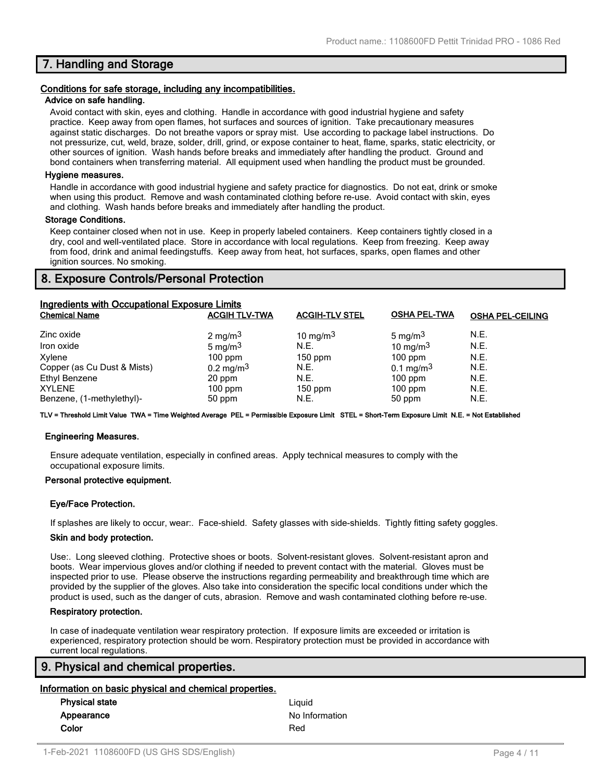# **7. Handling and Storage**

#### **Conditions for safe storage, including any incompatibilities.**

#### **Advice on safe handling.**

Avoid contact with skin, eyes and clothing. Handle in accordance with good industrial hygiene and safety practice. Keep away from open flames, hot surfaces and sources of ignition. Take precautionary measures against static discharges. Do not breathe vapors or spray mist. Use according to package label instructions. Do not pressurize, cut, weld, braze, solder, drill, grind, or expose container to heat, flame, sparks, static electricity, or other sources of ignition. Wash hands before breaks and immediately after handling the product. Ground and bond containers when transferring material. All equipment used when handling the product must be grounded.

#### **Hygiene measures.**

Handle in accordance with good industrial hygiene and safety practice for diagnostics. Do not eat, drink or smoke when using this product. Remove and wash contaminated clothing before re-use. Avoid contact with skin, eyes and clothing. Wash hands before breaks and immediately after handling the product.

## **Storage Conditions.**

Keep container closed when not in use. Keep in properly labeled containers. Keep containers tightly closed in a dry, cool and well-ventilated place. Store in accordance with local regulations. Keep from freezing. Keep away from food, drink and animal feedingstuffs. Keep away from heat, hot surfaces, sparks, open flames and other ignition sources. No smoking.

# **8. Exposure Controls/Personal Protection**

| Ingredients with Occupational Exposure Limits |                         |                       |                      |                         |  |
|-----------------------------------------------|-------------------------|-----------------------|----------------------|-------------------------|--|
| <b>Chemical Name</b>                          | <b>ACGIH TLV-TWA</b>    | <b>ACGIH-TLV STEL</b> | <b>OSHA PEL-TWA</b>  | <b>OSHA PEL-CEILING</b> |  |
| Zinc oxide                                    | 2 mg/m <sup>3</sup>     | 10 mg/m $3$           | 5 mg/m $3$           | N.E.                    |  |
| Iron oxide                                    | 5 mg/m $3$              | N.E.                  | 10 mg/m $3$          | N.E.                    |  |
| Xylene                                        | $100$ ppm               | $150$ ppm             | $100$ ppm            | N.E.                    |  |
| Copper (as Cu Dust & Mists)                   | $0.2 \,\mathrm{mg/m^3}$ | N.E.                  | $0.1 \text{ mg/m}^3$ | N.E.                    |  |
| Ethyl Benzene                                 | 20 ppm                  | N.E.                  | $100$ ppm            | N.E.                    |  |
| <b>XYLENE</b>                                 | $100$ ppm               | $150$ ppm             | $100$ ppm            | N.E.                    |  |
| Benzene, (1-methylethyl)-                     | 50 ppm                  | N.E.                  | 50 ppm               | N.E.                    |  |

**TLV = Threshold Limit Value TWA = Time Weighted Average PEL = Permissible Exposure Limit STEL = Short-Term Exposure Limit N.E. = Not Established**

#### **Engineering Measures.**

Ensure adequate ventilation, especially in confined areas. Apply technical measures to comply with the occupational exposure limits.

#### **Personal protective equipment.**

#### **Eye/Face Protection.**

If splashes are likely to occur, wear:. Face-shield. Safety glasses with side-shields. Tightly fitting safety goggles.

#### **Skin and body protection.**

Use:. Long sleeved clothing. Protective shoes or boots. Solvent-resistant gloves. Solvent-resistant apron and boots. Wear impervious gloves and/or clothing if needed to prevent contact with the material. Gloves must be inspected prior to use. Please observe the instructions regarding permeability and breakthrough time which are provided by the supplier of the gloves. Also take into consideration the specific local conditions under which the product is used, such as the danger of cuts, abrasion. Remove and wash contaminated clothing before re-use.

#### **Respiratory protection.**

In case of inadequate ventilation wear respiratory protection. If exposure limits are exceeded or irritation is experienced, respiratory protection should be worn. Respiratory protection must be provided in accordance with current local regulations.

# **9. Physical and chemical properties.**

## **Information on basic physical and chemical properties.**

| <b>Physical state</b> | Liauid         |
|-----------------------|----------------|
| Appearance            | No Information |
| Color                 | Red            |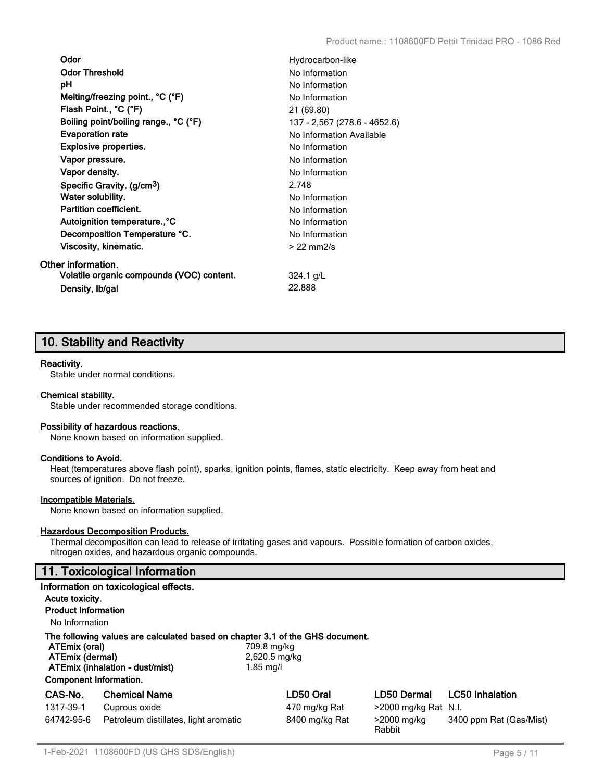| Odor                                      | Hydrocarbon-like             |
|-------------------------------------------|------------------------------|
| <b>Odor Threshold</b>                     | No Information               |
| рH                                        | No Information               |
| Melting/freezing point., °C (°F)          | No Information               |
| Flash Point., °C (°F)                     | 21 (69.80)                   |
| Boiling point/boiling range., °C (°F)     | 137 - 2,567 (278.6 - 4652.6) |
| <b>Evaporation rate</b>                   | No Information Available     |
| <b>Explosive properties.</b>              | No Information               |
| Vapor pressure.                           | No Information               |
| Vapor density.                            | No Information               |
| Specific Gravity. (g/cm <sup>3</sup> )    | 2.748                        |
| Water solubility.                         | No Information               |
| <b>Partition coefficient.</b>             | No Information               |
| Autoignition temperature., °C             | No Information               |
| Decomposition Temperature °C.             | No Information               |
| Viscosity, kinematic.                     | $>22$ mm $2/s$               |
| Other information.                        |                              |
| Volatile organic compounds (VOC) content. | $324.1$ g/L                  |
| Density, Ib/gal                           | 22.888                       |

# **10. Stability and Reactivity**

# **Reactivity.**

Stable under normal conditions.

#### **Chemical stability.**

Stable under recommended storage conditions.

#### **Possibility of hazardous reactions.**

None known based on information supplied.

#### **Conditions to Avoid.**

Heat (temperatures above flash point), sparks, ignition points, flames, static electricity. Keep away from heat and sources of ignition. Do not freeze.

## **Incompatible Materials.**

None known based on information supplied.

## **Hazardous Decomposition Products.**

Thermal decomposition can lead to release of irritating gases and vapours. Possible formation of carbon oxides, nitrogen oxides, and hazardous organic compounds.

# **11. Toxicological Information**

|                                                                   | Information on toxicological effects.                                                                            |                                           |                       |                         |
|-------------------------------------------------------------------|------------------------------------------------------------------------------------------------------------------|-------------------------------------------|-----------------------|-------------------------|
| Acute toxicity.                                                   |                                                                                                                  |                                           |                       |                         |
| <b>Product Information</b>                                        |                                                                                                                  |                                           |                       |                         |
| No Information                                                    |                                                                                                                  |                                           |                       |                         |
| ATEmix (oral)<br>ATEmix (dermal)<br><b>Component Information.</b> | The following values are calculated based on chapter 3.1 of the GHS document.<br>ATEmix (inhalation - dust/mist) | 709.8 mg/kg<br>2,620.5 mg/kg<br>1.85 mg/l |                       |                         |
| CAS-No.                                                           | <b>Chemical Name</b>                                                                                             | LD50 Oral                                 | LD50 Dermal           | <b>LC50 Inhalation</b>  |
| 1317-39-1                                                         | Cuprous oxide                                                                                                    | 470 mg/kg Rat                             | >2000 mg/kg Rat N.I.  |                         |
| 64742-95-6                                                        | Petroleum distillates, light aromatic                                                                            | 8400 mg/kg Rat                            | >2000 mg/kg<br>Rabbit | 3400 ppm Rat (Gas/Mist) |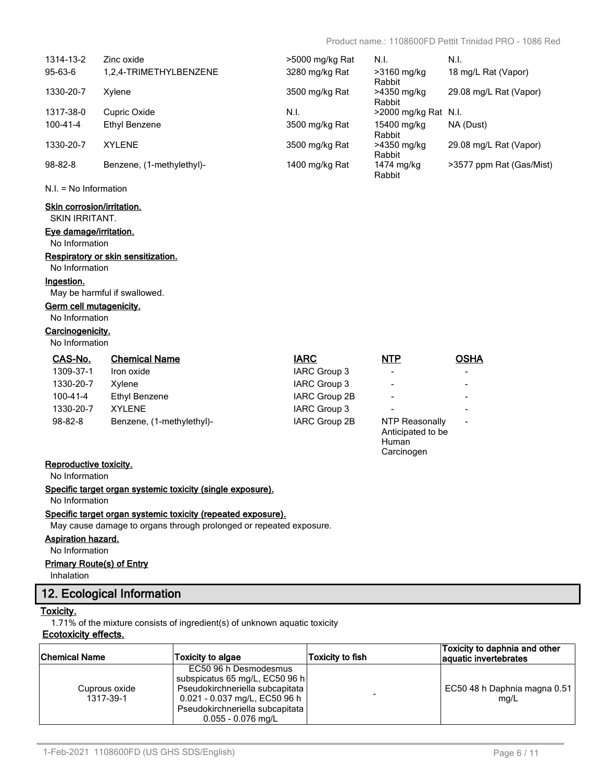Human **Carcinogen** 

| 1314-13-2      | Zinc oxide                | >5000 mg/kg Rat | N.I.                    | N.I.                     |
|----------------|---------------------------|-----------------|-------------------------|--------------------------|
| $95-63-6$      | 1,2,4-TRIMETHYLBENZENE    | 3280 mg/kg Rat  | >3160 mg/kg<br>Rabbit   | 18 mg/L Rat (Vapor)      |
| 1330-20-7      | Xylene                    | 3500 mg/kg Rat  | >4350 mg/kg<br>Rabbit   | 29.08 mg/L Rat (Vapor)   |
| 1317-38-0      | Cupric Oxide              | N.I.            | $>$ 2000 mg/kg Rat N.I. |                          |
| $100 - 41 - 4$ | Ethyl Benzene             | 3500 mg/kg Rat  | 15400 mg/kg<br>Rabbit   | NA (Dust)                |
| 1330-20-7      | <b>XYLENE</b>             | 3500 mg/kg Rat  | >4350 mg/kg<br>Rabbit   | 29.08 mg/L Rat (Vapor)   |
| $98 - 82 - 8$  | Benzene, (1-methylethyl)- | 1400 mg/kg Rat  | 1474 mg/kg<br>Rabbit    | >3577 ppm Rat (Gas/Mist) |

#### N.I. = No Information

## **Skin corrosion/irritation.**

SKIN IRRITANT.

# **Eye damage/irritation.**

No Information

# **Respiratory or skin sensitization.**

# No Information

**Ingestion.**

May be harmful if swallowed.

# **Germ cell mutagenicity.**

No Information

# **Carcinogenicity.**

No Information

| CAS-No.        | <b>Chemical Name</b>      | <b>IARC</b>   | <b>NTP</b>                          | <b>OSHA</b> |
|----------------|---------------------------|---------------|-------------------------------------|-------------|
| 1309-37-1      | Iron oxide                | IARC Group 3  | $\overline{\phantom{a}}$            |             |
| 1330-20-7      | Xvlene                    | IARC Group 3  | $\overline{\phantom{a}}$            |             |
| $100 - 41 - 4$ | Ethyl Benzene             | IARC Group 2B | $\overline{\phantom{a}}$            |             |
| 1330-20-7      | XYI FNF                   | IARC Group 3  | $\,$                                |             |
| $98 - 82 - 8$  | Benzene, (1-methylethyl)- | IARC Group 2B | NTP Reasonally<br>Anticipated to be | -           |

## **Reproductive toxicity.**

No Information

# **Specific target organ systemic toxicity (single exposure).**

No Information

#### **Specific target organ systemic toxicity (repeated exposure).**

May cause damage to organs through prolonged or repeated exposure.

#### **Aspiration hazard.**

No Information

# **Primary Route(s) of Entry**

Inhalation

# **12. Ecological Information**

## **Toxicity.**

1.71% of the mixture consists of ingredient(s) of unknown aquatic toxicity

# **Ecotoxicity effects.**

| <b>Chemical Name</b>       | Toxicity to algae                                                                                                                                                                      | Toxicity to fish | Toxicity to daphnia and other<br>aquatic invertebrates |
|----------------------------|----------------------------------------------------------------------------------------------------------------------------------------------------------------------------------------|------------------|--------------------------------------------------------|
| Cuprous oxide<br>1317-39-1 | EC50 96 h Desmodesmus<br>subspicatus 65 mg/L, EC50 96 h<br>Pseudokirchneriella subcapitata<br>0.021 - 0.037 mg/L, EC50 96 h<br>Pseudokirchneriella subcapitata<br>$0.055 - 0.076$ mg/L |                  | EC50 48 h Daphnia magna 0.51<br>mq/L                   |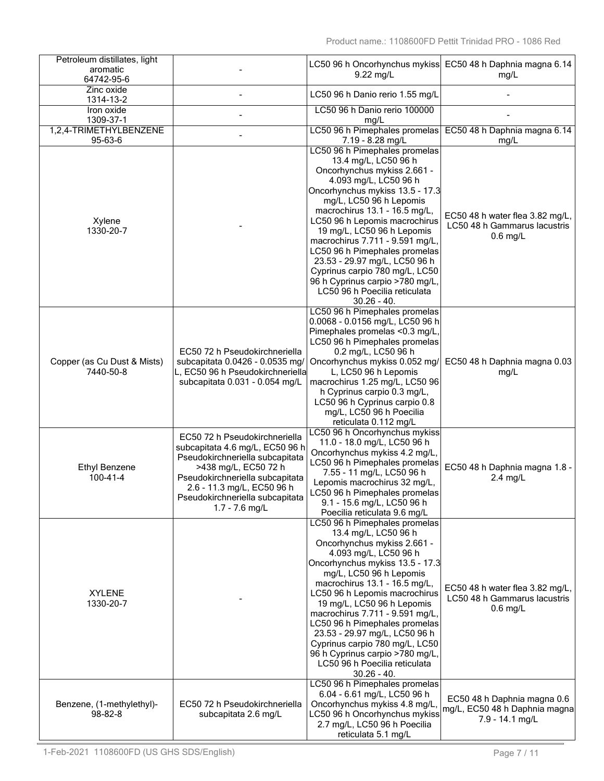| Petroleum distillates, light             |                                                                     |                                                                  | LC50 96 h Oncorhynchus mykiss EC50 48 h Daphnia magna 6.14   |
|------------------------------------------|---------------------------------------------------------------------|------------------------------------------------------------------|--------------------------------------------------------------|
| aromatic                                 |                                                                     | 9.22 mg/L                                                        | mg/L                                                         |
| 64742-95-6                               |                                                                     |                                                                  |                                                              |
| Zinc oxide<br>1314-13-2                  |                                                                     | LC50 96 h Danio rerio 1.55 mg/L                                  |                                                              |
| Iron oxide                               |                                                                     | LC50 96 h Danio rerio 100000                                     |                                                              |
| 1309-37-1                                |                                                                     | mg/L                                                             |                                                              |
| 1,2,4-TRIMETHYLBENZENE                   |                                                                     | LC50 96 h Pimephales promelas                                    | EC50 48 h Daphnia magna 6.14                                 |
| 95-63-6                                  |                                                                     | 7.19 - 8.28 mg/L                                                 | mg/L                                                         |
|                                          |                                                                     | LC50 96 h Pimephales promelas                                    |                                                              |
|                                          |                                                                     | 13.4 mg/L, LC50 96 h<br>Oncorhynchus mykiss 2.661 -              |                                                              |
|                                          |                                                                     | 4.093 mg/L, LC50 96 h                                            |                                                              |
|                                          |                                                                     | Oncorhynchus mykiss 13.5 - 17.3                                  |                                                              |
|                                          |                                                                     | mg/L, LC50 96 h Lepomis                                          |                                                              |
|                                          |                                                                     | macrochirus 13.1 - 16.5 mg/L,                                    | EC50 48 h water flea 3.82 mg/L,                              |
| Xylene                                   |                                                                     | LC50 96 h Lepomis macrochirus                                    | LC50 48 h Gammarus lacustris                                 |
| 1330-20-7                                |                                                                     | 19 mg/L, LC50 96 h Lepomis<br>macrochirus 7.711 - 9.591 mg/L,    | $0.6$ mg/L                                                   |
|                                          |                                                                     | LC50 96 h Pimephales promelas                                    |                                                              |
|                                          |                                                                     | 23.53 - 29.97 mg/L, LC50 96 h                                    |                                                              |
|                                          |                                                                     | Cyprinus carpio 780 mg/L, LC50                                   |                                                              |
|                                          |                                                                     | 96 h Cyprinus carpio >780 mg/L,                                  |                                                              |
|                                          |                                                                     | LC50 96 h Poecilia reticulata                                    |                                                              |
|                                          |                                                                     | $30.26 - 40.$<br>LC50 96 h Pimephales promelas                   |                                                              |
|                                          |                                                                     | 0.0068 - 0.0156 mg/L, LC50 96 h                                  |                                                              |
|                                          |                                                                     | Pimephales promelas <0.3 mg/L,                                   |                                                              |
|                                          |                                                                     | LC50 96 h Pimephales promelas                                    |                                                              |
|                                          | EC50 72 h Pseudokirchneriella                                       | 0.2 mg/L, LC50 96 h                                              |                                                              |
| Copper (as Cu Dust & Mists)<br>7440-50-8 | subcapitata 0.0426 - 0.0535 mg/<br>L, EC50 96 h Pseudokirchneriella | Oncorhynchus mykiss 0.052 mg/<br>L, LC50 96 h Lepomis            | EC50 48 h Daphnia magna 0.03                                 |
|                                          | subcapitata 0.031 - 0.054 mg/L                                      | macrochirus 1.25 mg/L, LC50 96                                   | mg/L                                                         |
|                                          |                                                                     | h Cyprinus carpio 0.3 mg/L,                                      |                                                              |
|                                          |                                                                     | LC50 96 h Cyprinus carpio 0.8                                    |                                                              |
|                                          |                                                                     | mg/L, LC50 96 h Poecilia                                         |                                                              |
|                                          |                                                                     | reticulata 0.112 mg/L                                            |                                                              |
|                                          | EC50 72 h Pseudokirchneriella                                       | LC50 96 h Oncorhynchus mykiss<br>11.0 - 18.0 mg/L, LC50 96 h     |                                                              |
|                                          | subcapitata 4.6 mg/L, EC50 96 h                                     | Oncorhynchus mykiss 4.2 mg/L,                                    |                                                              |
| <b>Ethyl Benzene</b>                     | Pseudokirchneriella subcapitata<br>>438 mg/L, EC50 72 h             | LC50 96 h Pimephales promelas                                    | EC50 48 h Daphnia magna 1.8 -                                |
| $100 - 41 - 4$                           | Pseudokirchneriella subcapitata                                     | 7.55 - 11 mg/L, LC50 96 h                                        | $2.4$ mg/L                                                   |
|                                          | 2.6 - 11.3 mg/L, EC50 96 h                                          | Lepomis macrochirus 32 mg/L,                                     |                                                              |
|                                          | Pseudokirchneriella subcapitata                                     | LC50 96 h Pimephales promelas<br>9.1 - 15.6 mg/L, LC50 96 h      |                                                              |
|                                          | $1.7 - 7.6$ mg/L                                                    | Poecilia reticulata 9.6 mg/L                                     |                                                              |
|                                          |                                                                     | LC50 96 h Pimephales promelas                                    |                                                              |
|                                          |                                                                     | 13.4 mg/L, LC50 96 h                                             |                                                              |
|                                          |                                                                     | Oncorhynchus mykiss 2.661 -<br>4.093 mg/L, LC50 96 h             |                                                              |
|                                          |                                                                     | Oncorhynchus mykiss 13.5 - 17.3                                  |                                                              |
|                                          |                                                                     | mg/L, LC50 96 h Lepomis                                          |                                                              |
|                                          |                                                                     | macrochirus 13.1 - 16.5 mg/L,                                    | EC50 48 h water flea 3.82 mg/L,                              |
| <b>XYLENE</b>                            |                                                                     | LC50 96 h Lepomis macrochirus                                    | LC50 48 h Gammarus lacustris                                 |
| 1330-20-7                                |                                                                     | 19 mg/L, LC50 96 h Lepomis                                       | $0.6$ mg/L                                                   |
|                                          |                                                                     | macrochirus 7.711 - 9.591 mg/L,<br>LC50 96 h Pimephales promelas |                                                              |
|                                          |                                                                     | 23.53 - 29.97 mg/L, LC50 96 h                                    |                                                              |
|                                          |                                                                     | Cyprinus carpio 780 mg/L, LC50                                   |                                                              |
|                                          |                                                                     | 96 h Cyprinus carpio >780 mg/L,                                  |                                                              |
|                                          |                                                                     | LC50 96 h Poecilia reticulata                                    |                                                              |
|                                          |                                                                     | $30.26 - 40.$<br>LC50 96 h Pimephales promelas                   |                                                              |
|                                          |                                                                     | 6.04 - 6.61 mg/L, LC50 96 h                                      |                                                              |
| Benzene, (1-methylethyl)-                | EC50 72 h Pseudokirchneriella                                       | Oncorhynchus mykiss 4.8 mg/L,                                    | EC50 48 h Daphnia magna 0.6<br>mg/L, EC50 48 h Daphnia magna |
| $98 - 82 - 8$                            | subcapitata 2.6 mg/L                                                | LC50 96 h Oncorhynchus mykiss                                    | 7.9 - 14.1 mg/L                                              |
|                                          |                                                                     | 2.7 mg/L, LC50 96 h Poecilia<br>reticulata 5.1 mg/L              |                                                              |
|                                          |                                                                     |                                                                  |                                                              |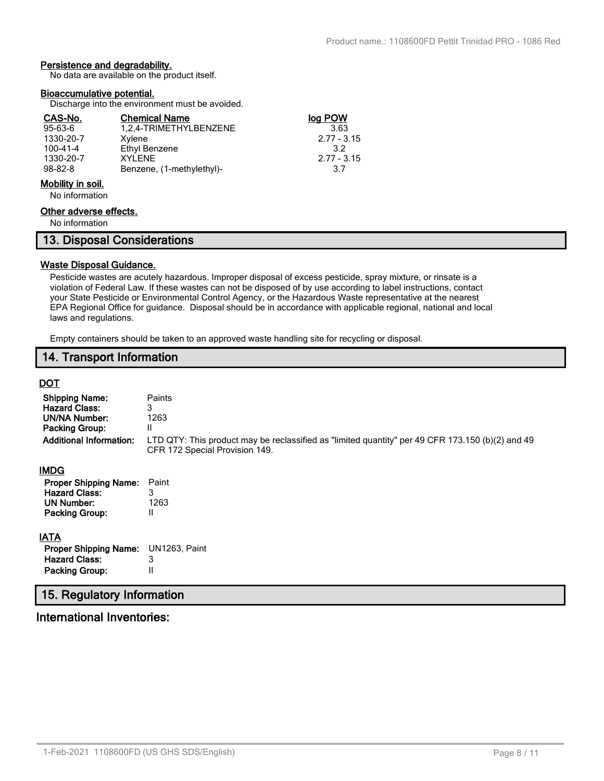# **Persistence and degradability.**

No data are available on the product itself.

#### **Bioaccumulative potential.**

Discharge into the environment must be avoided.

| CAS-No.          | <b>Chemical Name</b>      | log POW         |
|------------------|---------------------------|-----------------|
| $95 - 63 - 6$    | 1,2,4-TRIMETHYLBENZENE    | 3.63            |
| 1330-20-7        | Xylene                    | $2.77 - 3.15$   |
| $100 - 41 - 4$   | Ethyl Benzene             | 32 <sup>2</sup> |
| 1330-20-7        | XYI FNF                   | $2.77 - 3.15$   |
| $98 - 82 - 8$    | Benzene, (1-methylethyl)- | 3.7             |
| Mobility in poil |                           |                 |

#### **Mobility in soil.**

No information

# **Other adverse effects.**

No information

|  | 13. Disposal Considerations |  |
|--|-----------------------------|--|
|  |                             |  |

## **Waste Disposal Guidance.**

Pesticide wastes are acutely hazardous. Improper disposal of excess pesticide, spray mixture, or rinsate is a violation of Federal Law. If these wastes can not be disposed of by use according to label instructions, contact your State Pesticide or Environmental Control Agency, or the Hazardous Waste representative at the nearest EPA Regional Office for guidance. Disposal should be in accordance with applicable regional, national and local laws and regulations.

Empty containers should be taken to an approved waste handling site for recycling or disposal.

# **14. Transport Information**

# **DOT**

| <b>Shipping Name:</b><br><b>Hazard Class:</b><br><b>UN/NA Number:</b><br><b>Packing Group:</b><br><b>Additional Information:</b> | Paints<br>3<br>1263<br>Ш<br>LTD QTY: This product may be reclassified as "limited quantity" per 49 CFR 173.150 (b)(2) and 49<br>CFR 172 Special Provision 149. |
|----------------------------------------------------------------------------------------------------------------------------------|----------------------------------------------------------------------------------------------------------------------------------------------------------------|
| <b>IMDG</b>                                                                                                                      |                                                                                                                                                                |
| <b>Proper Shipping Name:</b><br><b>Hazard Class:</b><br>UN Number:<br><b>Packing Group:</b>                                      | Paint<br>3<br>1263<br>Ш                                                                                                                                        |
| <b>IATA</b><br><b>Proper Shipping Name:</b><br><b>Hazard Class:</b><br><b>Packing Group:</b>                                     | UN1263, Paint<br>3<br>Ш                                                                                                                                        |
| 15. Regulatory Information                                                                                                       |                                                                                                                                                                |

# **International Inventories:**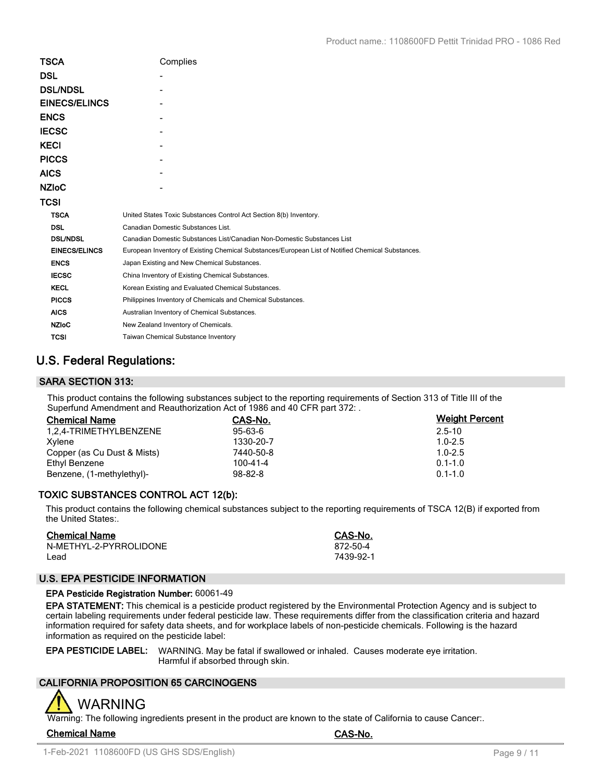| Complies                                                                                          |
|---------------------------------------------------------------------------------------------------|
|                                                                                                   |
|                                                                                                   |
|                                                                                                   |
|                                                                                                   |
|                                                                                                   |
|                                                                                                   |
|                                                                                                   |
|                                                                                                   |
|                                                                                                   |
|                                                                                                   |
| United States Toxic Substances Control Act Section 8(b) Inventory.                                |
| Canadian Domestic Substances List.                                                                |
| Canadian Domestic Substances List/Canadian Non-Domestic Substances List                           |
| European Inventory of Existing Chemical Substances/European List of Notified Chemical Substances. |
| Japan Existing and New Chemical Substances.                                                       |
| China Inventory of Existing Chemical Substances.                                                  |
| Korean Existing and Evaluated Chemical Substances.                                                |
| Philippines Inventory of Chemicals and Chemical Substances.                                       |
| Australian Inventory of Chemical Substances.                                                      |
| New Zealand Inventory of Chemicals.                                                               |
| <b>Taiwan Chemical Substance Inventory</b>                                                        |
|                                                                                                   |

# **U.S. Federal Regulations:**

# **SARA SECTION 313:**

This product contains the following substances subject to the reporting requirements of Section 313 of Title III of the Superfund Amendment and Reauthorization Act of 1986 and 40 CFR part 372: .

| <b>Chemical Name</b>        | CAS-No.        | <b>Weight Percent</b> |
|-----------------------------|----------------|-----------------------|
| 1,2,4-TRIMETHYLBENZENE      | $95 - 63 - 6$  | $2.5 - 10$            |
| Xvlene                      | 1330-20-7      | $1.0 - 2.5$           |
| Copper (as Cu Dust & Mists) | 7440-50-8      | $1.0 - 2.5$           |
| Ethyl Benzene               | $100 - 41 - 4$ | $0.1 - 1.0$           |
| Benzene, (1-methylethyl)-   | $98 - 82 - 8$  | $0.1 - 1.0$           |

# **TOXIC SUBSTANCES CONTROL ACT 12(b):**

This product contains the following chemical substances subject to the reporting requirements of TSCA 12(B) if exported from the United States:.

| <b>Chemical Name</b>   | CAS-No.   |
|------------------------|-----------|
| N-METHYL-2-PYRROLIDONE | 872-50-4  |
| Lead                   | 7439-92-1 |

# **U.S. EPA PESTICIDE INFORMATION**

#### **EPA Pesticide Registration Number:** 60061-49

**EPA STATEMENT:** This chemical is a pesticide product registered by the Environmental Protection Agency and is subject to certain labeling requirements under federal pesticide law. These requirements differ from the classification criteria and hazard information required for safety data sheets, and for workplace labels of non-pesticide chemicals. Following is the hazard information as required on the pesticide label:

**EPA PESTICIDE LABEL:** WARNING. May be fatal if swallowed or inhaled. Causes moderate eye irritation. Harmful if absorbed through skin.

# **CALIFORNIA PROPOSITION 65 CARCINOGENS**



Warning: The following ingredients present in the product are known to the state of California to cause Cancer:.

**Chemical Name CAS-No.**